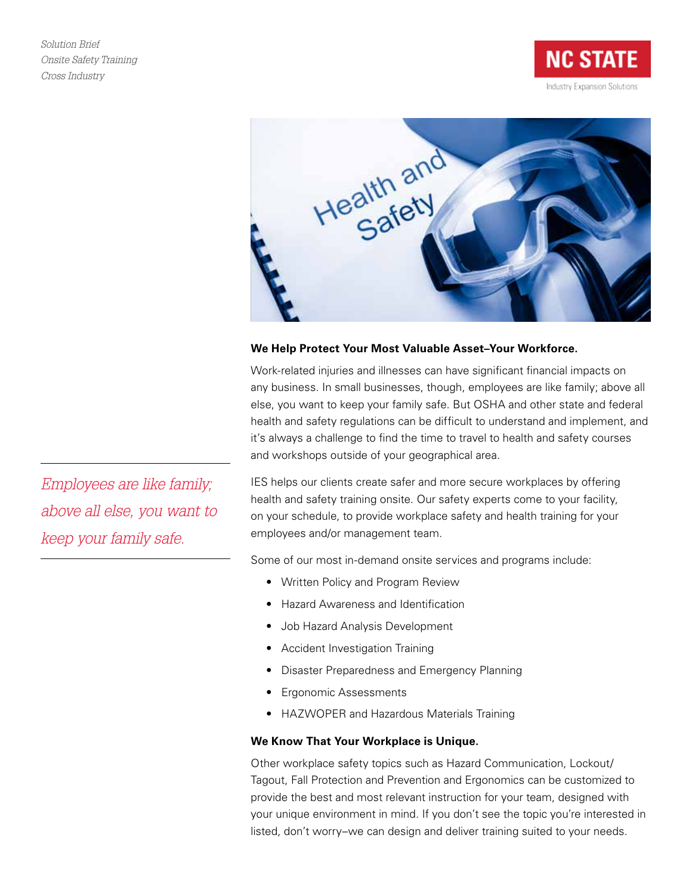*Solution Brief Onsite Safety Training Cross Industry*

**NC STATE** Industry Expansion Solutions



## **We Help Protect Your Most Valuable Asset–Your Workforce.**

Work-related injuries and illnesses can have significant financial impacts on any business. In small businesses, though, employees are like family; above all else, you want to keep your family safe. But OSHA and other state and federal health and safety regulations can be difficult to understand and implement, and it's always a challenge to find the time to travel to health and safety courses and workshops outside of your geographical area.

IES helps our clients create safer and more secure workplaces by offering health and safety training onsite. Our safety experts come to your facility, on your schedule, to provide workplace safety and health training for your employees and/or management team.

Some of our most in-demand onsite services and programs include:

- Written Policy and Program Review
- Hazard Awareness and Identification
- Job Hazard Analysis Development
- Accident Investigation Training
- Disaster Preparedness and Emergency Planning
- Ergonomic Assessments
- HAZWOPER and Hazardous Materials Training

## **We Know That Your Workplace is Unique.**

Other workplace safety topics such as Hazard Communication, Lockout/ Tagout, Fall Protection and Prevention and Ergonomics can be customized to provide the best and most relevant instruction for your team, designed with your unique environment in mind. If you don't see the topic you're interested in listed, don't worry–we can design and deliver training suited to your needs.

*Employees are like family; above all else, you want to keep your family safe.*